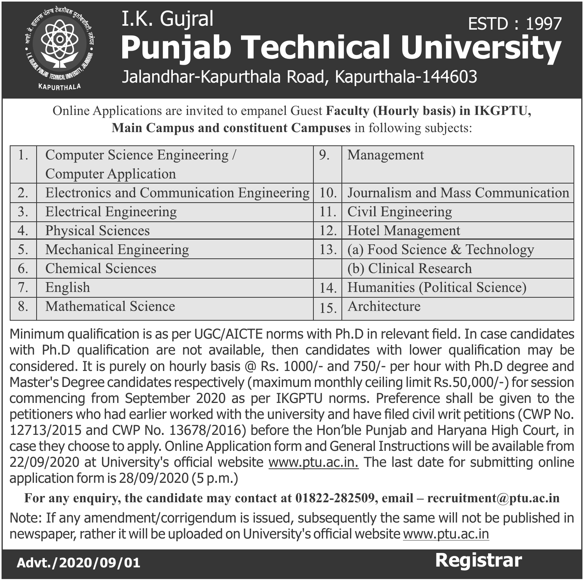

## I.K. Gujral **Punjab Technical University** ESTD : 1997

Jalandhar-Kapurthala Road, Kapurthala-144603

Online Applications are invited to empanel Guest **Faculty (Hourly basis) in IKGPTU, Main Campus and constituent Campuses** in following subjects:

|    | Computer Science Engineering /            | 9.   | Management                        |
|----|-------------------------------------------|------|-----------------------------------|
|    | <b>Computer Application</b>               |      |                                   |
| 2. | Electronics and Communication Engineering | 10.1 | Journalism and Mass Communication |
| 3. | <b>Electrical Engineering</b>             | 11.  | Civil Engineering                 |
| 4. | Physical Sciences                         | 12.  | Hotel Management                  |
| 5. | Mechanical Engineering                    | 13.  | (a) Food Science & Technology     |
| 6. | <b>Chemical Sciences</b>                  |      | (b) Clinical Research             |
| 7. | English                                   | 14.  | Humanities (Political Science)    |
| 8. | <b>Mathematical Science</b>               | 15   | Architecture                      |

Minimum qualification is as per UGC/AICTE norms with Ph.D in relevant field. In case candidates with Ph.D qualification are not available, then candidates with lower qualification may be considered. It is purely on hourly basis @ Rs. 1000/- and 750/- per hour with Ph.D degree and Master's Degree candidates respectively (maximum monthly ceiling limit Rs.50,000/-) for session commencing from September 2020 as per IKGPTU norms. Preference shall be given to the petitioners who had earlier worked with the university and have filed civil writ petitions (CWP No. 12713/2015 and CWP No. 13678/2016) before the Hon'ble Punjab and Haryana High Court, in case they choose to apply. Online Application form and General Instructions will be available from 22/09/2020 at University's official website www.ptu.ac.in. The last date for submitting online application form is 28/09/2020 (5 p.m.)

**For any enquiry, the candidate may contact at 01822-282509, email – recruitment@ptu.ac.in**

Note: If any amendment/corrigendum is issued, subsequently the same will not be published in newspaper, rather it will be uploaded on University's official website www.ptu.ac.in

**Advt./ 2020/09/01 Registrar**